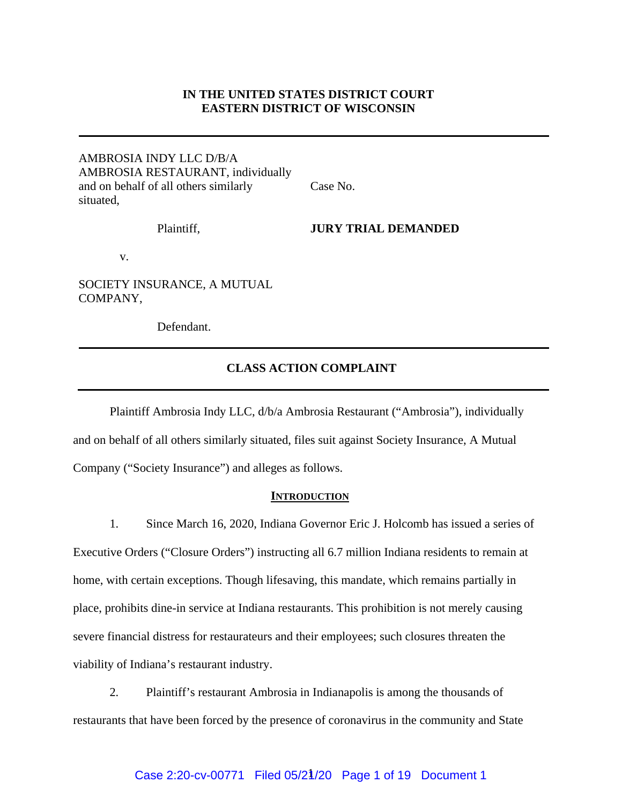#### **IN THE UNITED STATES DISTRICT COURT EASTERN DISTRICT OF WISCONSIN**

### AMBROSIA INDY LLC D/B/A AMBROSIA RESTAURANT, individually and on behalf of all others similarly situated,

Case No.

Plaintiff,

**JURY TRIAL DEMANDED** 

v.

SOCIETY INSURANCE, A MUTUAL COMPANY,

Defendant.

## **CLASS ACTION COMPLAINT**

 Plaintiff Ambrosia Indy LLC, d/b/a Ambrosia Restaurant ("Ambrosia"), individually and on behalf of all others similarly situated, files suit against Society Insurance, A Mutual Company ("Society Insurance") and alleges as follows.

#### **INTRODUCTION**

1. Since March 16, 2020, Indiana Governor Eric J. Holcomb has issued a series of Executive Orders ("Closure Orders") instructing all 6.7 million Indiana residents to remain at home, with certain exceptions. Though lifesaving, this mandate, which remains partially in place, prohibits dine-in service at Indiana restaurants. This prohibition is not merely causing severe financial distress for restaurateurs and their employees; such closures threaten the viability of Indiana's restaurant industry.

2. Plaintiff's restaurant Ambrosia in Indianapolis is among the thousands of restaurants that have been forced by the presence of coronavirus in the community and State

## Case 2:20-cv-00771 Filed 05/21/20 Page 1 of 19 Document 1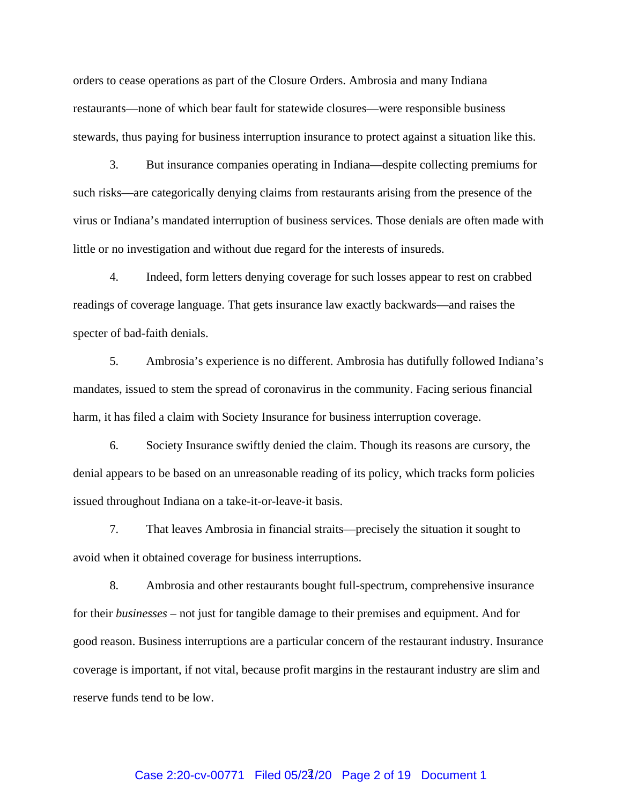orders to cease operations as part of the Closure Orders. Ambrosia and many Indiana restaurants—none of which bear fault for statewide closures—were responsible business stewards, thus paying for business interruption insurance to protect against a situation like this.

3. But insurance companies operating in Indiana—despite collecting premiums for such risks—are categorically denying claims from restaurants arising from the presence of the virus or Indiana's mandated interruption of business services. Those denials are often made with little or no investigation and without due regard for the interests of insureds.

4. Indeed, form letters denying coverage for such losses appear to rest on crabbed readings of coverage language. That gets insurance law exactly backwards—and raises the specter of bad-faith denials.

5. Ambrosia's experience is no different. Ambrosia has dutifully followed Indiana's mandates, issued to stem the spread of coronavirus in the community. Facing serious financial harm, it has filed a claim with Society Insurance for business interruption coverage.

6. Society Insurance swiftly denied the claim. Though its reasons are cursory, the denial appears to be based on an unreasonable reading of its policy, which tracks form policies issued throughout Indiana on a take-it-or-leave-it basis.

7. That leaves Ambrosia in financial straits—precisely the situation it sought to avoid when it obtained coverage for business interruptions.

8. Ambrosia and other restaurants bought full-spectrum, comprehensive insurance for their *businesses* – not just for tangible damage to their premises and equipment. And for good reason. Business interruptions are a particular concern of the restaurant industry. Insurance coverage is important, if not vital, because profit margins in the restaurant industry are slim and reserve funds tend to be low.

## Case 2:20-cv-00771 Filed 05/24/20 Page 2 of 19 Document 1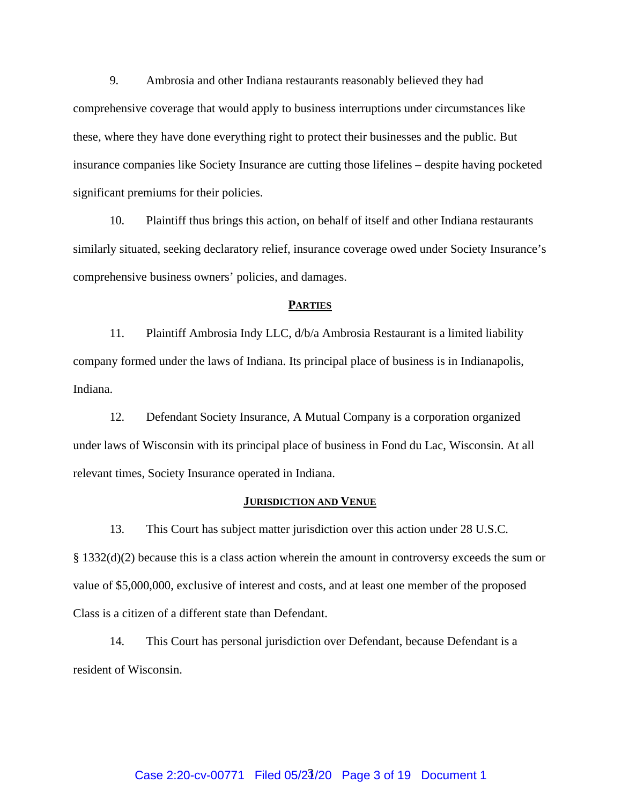9. Ambrosia and other Indiana restaurants reasonably believed they had comprehensive coverage that would apply to business interruptions under circumstances like these, where they have done everything right to protect their businesses and the public. But insurance companies like Society Insurance are cutting those lifelines – despite having pocketed significant premiums for their policies.

10. Plaintiff thus brings this action, on behalf of itself and other Indiana restaurants similarly situated, seeking declaratory relief, insurance coverage owed under Society Insurance's comprehensive business owners' policies, and damages.

#### **PARTIES**

11. Plaintiff Ambrosia Indy LLC, d/b/a Ambrosia Restaurant is a limited liability company formed under the laws of Indiana. Its principal place of business is in Indianapolis, Indiana.

12. Defendant Society Insurance, A Mutual Company is a corporation organized under laws of Wisconsin with its principal place of business in Fond du Lac, Wisconsin. At all relevant times, Society Insurance operated in Indiana.

#### **JURISDICTION AND VENUE**

13. This Court has subject matter jurisdiction over this action under 28 U.S.C. § 1332(d)(2) because this is a class action wherein the amount in controversy exceeds the sum or value of \$5,000,000, exclusive of interest and costs, and at least one member of the proposed Class is a citizen of a different state than Defendant.

14. This Court has personal jurisdiction over Defendant, because Defendant is a resident of Wisconsin.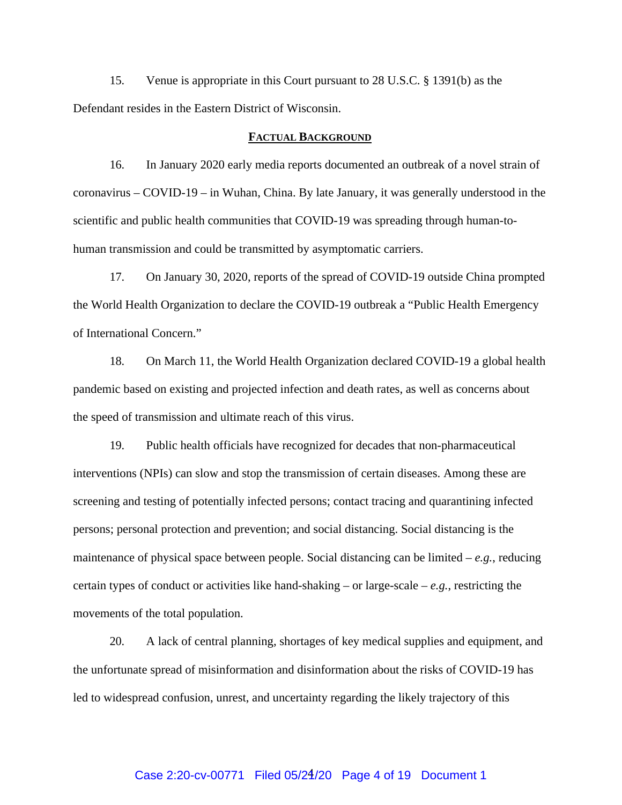15. Venue is appropriate in this Court pursuant to 28 U.S.C. § 1391(b) as the Defendant resides in the Eastern District of Wisconsin.

#### **FACTUAL BACKGROUND**

16. In January 2020 early media reports documented an outbreak of a novel strain of coronavirus – COVID-19 – in Wuhan, China. By late January, it was generally understood in the scientific and public health communities that COVID-19 was spreading through human-tohuman transmission and could be transmitted by asymptomatic carriers.

17. On January 30, 2020, reports of the spread of COVID-19 outside China prompted the World Health Organization to declare the COVID-19 outbreak a "Public Health Emergency of International Concern."

18. On March 11, the World Health Organization declared COVID-19 a global health pandemic based on existing and projected infection and death rates, as well as concerns about the speed of transmission and ultimate reach of this virus.

19. Public health officials have recognized for decades that non-pharmaceutical interventions (NPIs) can slow and stop the transmission of certain diseases. Among these are screening and testing of potentially infected persons; contact tracing and quarantining infected persons; personal protection and prevention; and social distancing. Social distancing is the maintenance of physical space between people. Social distancing can be limited – *e.g.*, reducing certain types of conduct or activities like hand-shaking – or large-scale –  $e.g.,$  restricting the movements of the total population.

20. A lack of central planning, shortages of key medical supplies and equipment, and the unfortunate spread of misinformation and disinformation about the risks of COVID-19 has led to widespread confusion, unrest, and uncertainty regarding the likely trajectory of this

## Case 2:20-cv-00771 Filed 05/24/20 Page 4 of 19 Document 1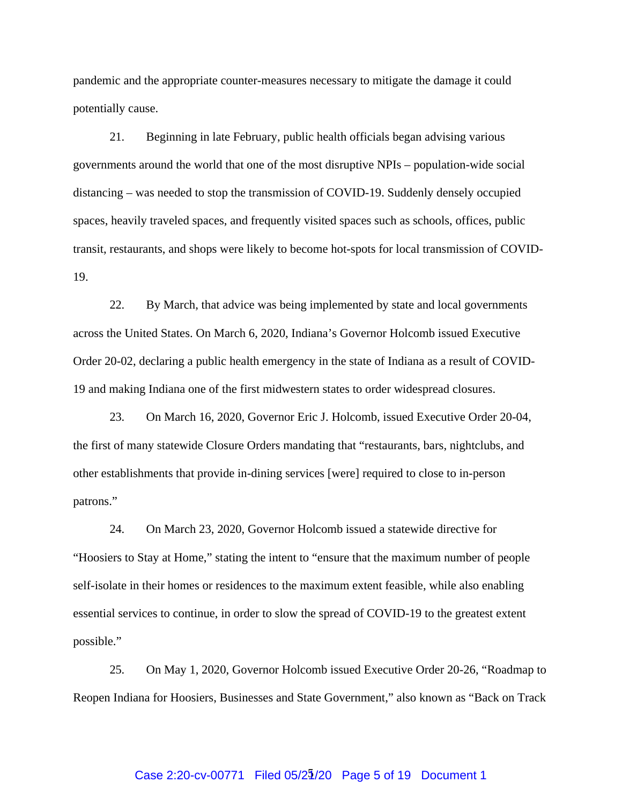pandemic and the appropriate counter-measures necessary to mitigate the damage it could potentially cause.

21. Beginning in late February, public health officials began advising various governments around the world that one of the most disruptive NPIs – population-wide social distancing – was needed to stop the transmission of COVID-19. Suddenly densely occupied spaces, heavily traveled spaces, and frequently visited spaces such as schools, offices, public transit, restaurants, and shops were likely to become hot-spots for local transmission of COVID-19.

22. By March, that advice was being implemented by state and local governments across the United States. On March 6, 2020, Indiana's Governor Holcomb issued Executive Order 20-02, declaring a public health emergency in the state of Indiana as a result of COVID-19 and making Indiana one of the first midwestern states to order widespread closures.

23. On March 16, 2020, Governor Eric J. Holcomb, issued Executive Order 20-04, the first of many statewide Closure Orders mandating that "restaurants, bars, nightclubs, and other establishments that provide in-dining services [were] required to close to in-person patrons."

24. On March 23, 2020, Governor Holcomb issued a statewide directive for "Hoosiers to Stay at Home," stating the intent to "ensure that the maximum number of people self-isolate in their homes or residences to the maximum extent feasible, while also enabling essential services to continue, in order to slow the spread of COVID-19 to the greatest extent possible."

25. On May 1, 2020, Governor Holcomb issued Executive Order 20-26, "Roadmap to Reopen Indiana for Hoosiers, Businesses and State Government," also known as "Back on Track

## Case 2:20-cv-00771 Filed 05/25/20 Page 5 of 19 Document 1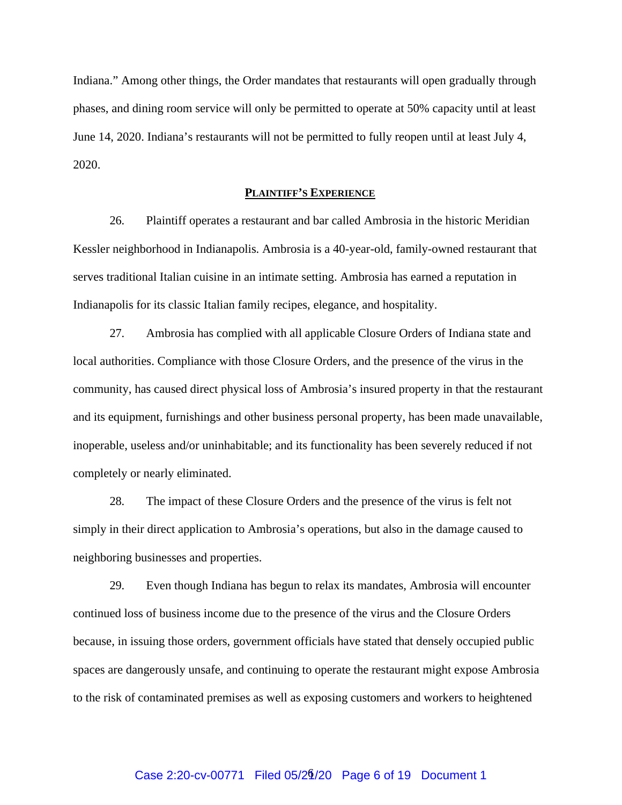Indiana." Among other things, the Order mandates that restaurants will open gradually through phases, and dining room service will only be permitted to operate at 50% capacity until at least June 14, 2020. Indiana's restaurants will not be permitted to fully reopen until at least July 4, 2020.

#### **PLAINTIFF'S EXPERIENCE**

26. Plaintiff operates a restaurant and bar called Ambrosia in the historic Meridian Kessler neighborhood in Indianapolis. Ambrosia is a 40-year-old, family-owned restaurant that serves traditional Italian cuisine in an intimate setting. Ambrosia has earned a reputation in Indianapolis for its classic Italian family recipes, elegance, and hospitality.

27. Ambrosia has complied with all applicable Closure Orders of Indiana state and local authorities. Compliance with those Closure Orders, and the presence of the virus in the community, has caused direct physical loss of Ambrosia's insured property in that the restaurant and its equipment, furnishings and other business personal property, has been made unavailable, inoperable, useless and/or uninhabitable; and its functionality has been severely reduced if not completely or nearly eliminated.

28. The impact of these Closure Orders and the presence of the virus is felt not simply in their direct application to Ambrosia's operations, but also in the damage caused to neighboring businesses and properties.

29. Even though Indiana has begun to relax its mandates, Ambrosia will encounter continued loss of business income due to the presence of the virus and the Closure Orders because, in issuing those orders, government officials have stated that densely occupied public spaces are dangerously unsafe, and continuing to operate the restaurant might expose Ambrosia to the risk of contaminated premises as well as exposing customers and workers to heightened

## Case 2:20-cv-00771 Filed 05/20/20 Page 6 of 19 Document 1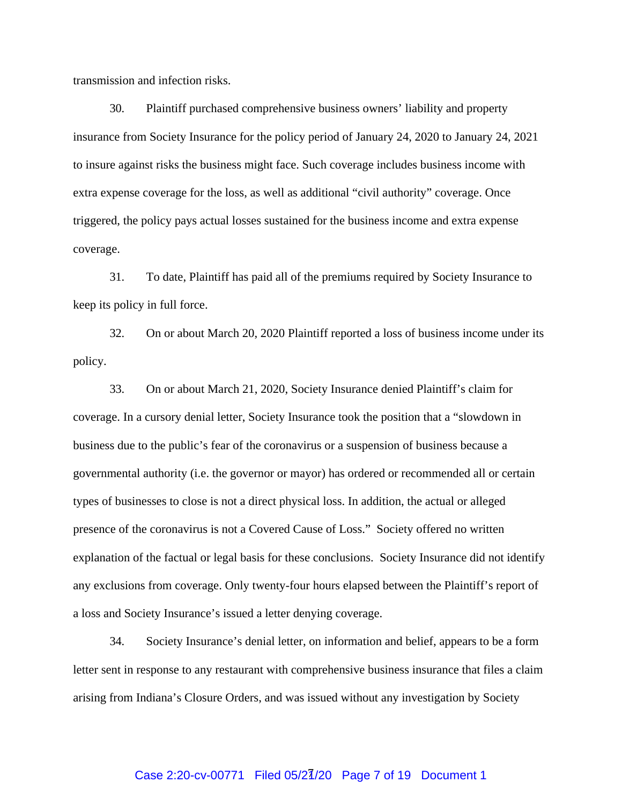transmission and infection risks.

30. Plaintiff purchased comprehensive business owners' liability and property insurance from Society Insurance for the policy period of January 24, 2020 to January 24, 2021 to insure against risks the business might face. Such coverage includes business income with extra expense coverage for the loss, as well as additional "civil authority" coverage. Once triggered, the policy pays actual losses sustained for the business income and extra expense coverage.

31. To date, Plaintiff has paid all of the premiums required by Society Insurance to keep its policy in full force.

32. On or about March 20, 2020 Plaintiff reported a loss of business income under its policy.

33. On or about March 21, 2020, Society Insurance denied Plaintiff's claim for coverage. In a cursory denial letter, Society Insurance took the position that a "slowdown in business due to the public's fear of the coronavirus or a suspension of business because a governmental authority (i.e. the governor or mayor) has ordered or recommended all or certain types of businesses to close is not a direct physical loss. In addition, the actual or alleged presence of the coronavirus is not a Covered Cause of Loss." Society offered no written explanation of the factual or legal basis for these conclusions. Society Insurance did not identify any exclusions from coverage. Only twenty-four hours elapsed between the Plaintiff's report of a loss and Society Insurance's issued a letter denying coverage.

34. Society Insurance's denial letter, on information and belief, appears to be a form letter sent in response to any restaurant with comprehensive business insurance that files a claim arising from Indiana's Closure Orders, and was issued without any investigation by Society

## Case 2:20-cv-00771 Filed 05/21/20 Page 7 of 19 Document 1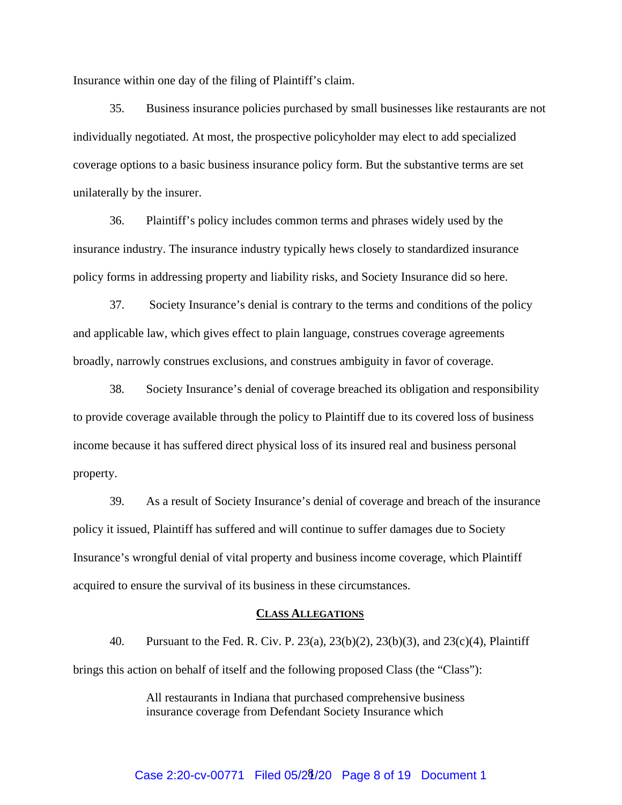Insurance within one day of the filing of Plaintiff's claim.

35. Business insurance policies purchased by small businesses like restaurants are not individually negotiated. At most, the prospective policyholder may elect to add specialized coverage options to a basic business insurance policy form. But the substantive terms are set unilaterally by the insurer.

36. Plaintiff's policy includes common terms and phrases widely used by the insurance industry. The insurance industry typically hews closely to standardized insurance policy forms in addressing property and liability risks, and Society Insurance did so here.

37. Society Insurance's denial is contrary to the terms and conditions of the policy and applicable law, which gives effect to plain language, construes coverage agreements broadly, narrowly construes exclusions, and construes ambiguity in favor of coverage.

38. Society Insurance's denial of coverage breached its obligation and responsibility to provide coverage available through the policy to Plaintiff due to its covered loss of business income because it has suffered direct physical loss of its insured real and business personal property.

39. As a result of Society Insurance's denial of coverage and breach of the insurance policy it issued, Plaintiff has suffered and will continue to suffer damages due to Society Insurance's wrongful denial of vital property and business income coverage, which Plaintiff acquired to ensure the survival of its business in these circumstances.

#### **CLASS ALLEGATIONS**

40. Pursuant to the Fed. R. Civ. P. 23(a), 23(b)(2), 23(b)(3), and 23(c)(4), Plaintiff brings this action on behalf of itself and the following proposed Class (the "Class"):

> All restaurants in Indiana that purchased comprehensive business insurance coverage from Defendant Society Insurance which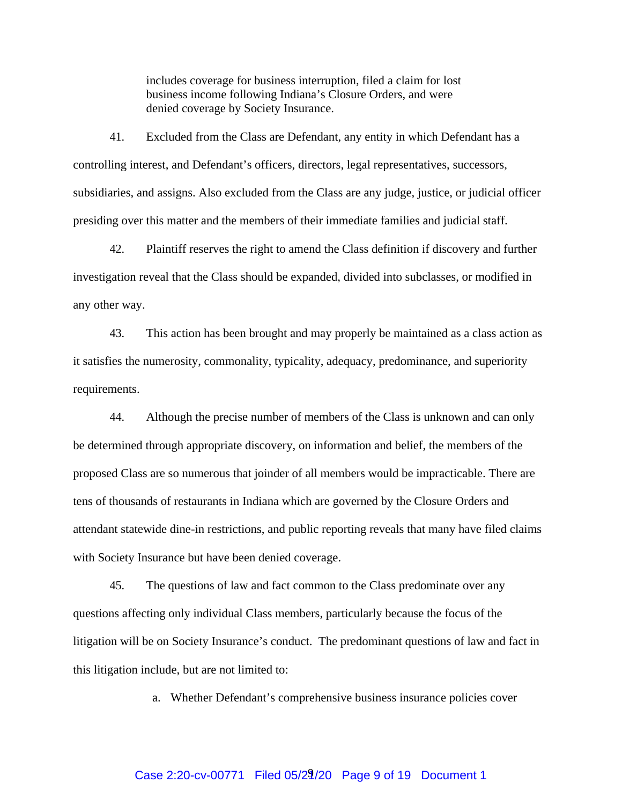includes coverage for business interruption, filed a claim for lost business income following Indiana's Closure Orders, and were denied coverage by Society Insurance.

41. Excluded from the Class are Defendant, any entity in which Defendant has a controlling interest, and Defendant's officers, directors, legal representatives, successors, subsidiaries, and assigns. Also excluded from the Class are any judge, justice, or judicial officer presiding over this matter and the members of their immediate families and judicial staff.

42. Plaintiff reserves the right to amend the Class definition if discovery and further investigation reveal that the Class should be expanded, divided into subclasses, or modified in any other way.

43. This action has been brought and may properly be maintained as a class action as it satisfies the numerosity, commonality, typicality, adequacy, predominance, and superiority requirements.

44. Although the precise number of members of the Class is unknown and can only be determined through appropriate discovery, on information and belief, the members of the proposed Class are so numerous that joinder of all members would be impracticable. There are tens of thousands of restaurants in Indiana which are governed by the Closure Orders and attendant statewide dine-in restrictions, and public reporting reveals that many have filed claims with Society Insurance but have been denied coverage.

45. The questions of law and fact common to the Class predominate over any questions affecting only individual Class members, particularly because the focus of the litigation will be on Society Insurance's conduct. The predominant questions of law and fact in this litigation include, but are not limited to:

a. Whether Defendant's comprehensive business insurance policies cover

## Case 2:20-cv-00771 Filed 05/22/20 Page 9 of 19 Document 1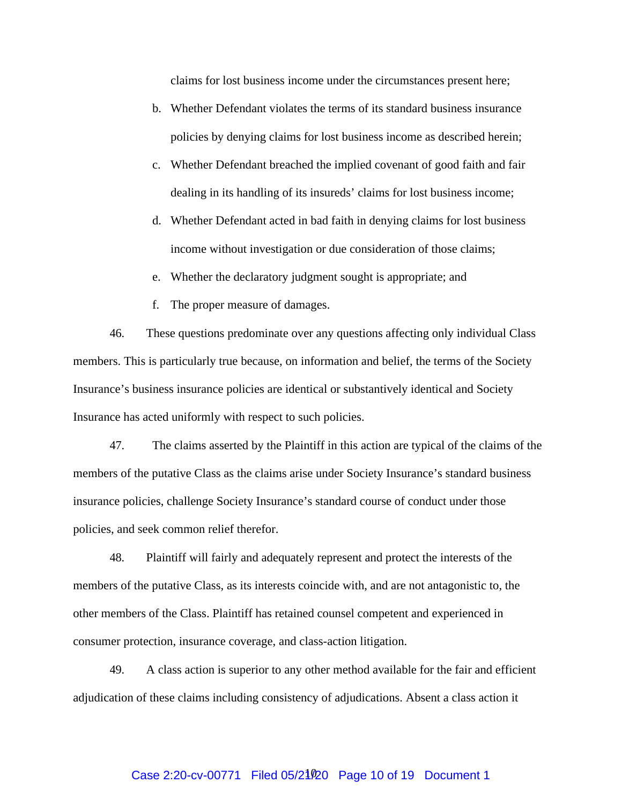claims for lost business income under the circumstances present here;

- b. Whether Defendant violates the terms of its standard business insurance policies by denying claims for lost business income as described herein;
- c. Whether Defendant breached the implied covenant of good faith and fair dealing in its handling of its insureds' claims for lost business income;
- d. Whether Defendant acted in bad faith in denying claims for lost business income without investigation or due consideration of those claims;
- e. Whether the declaratory judgment sought is appropriate; and
- f. The proper measure of damages.

46. These questions predominate over any questions affecting only individual Class members. This is particularly true because, on information and belief, the terms of the Society Insurance's business insurance policies are identical or substantively identical and Society Insurance has acted uniformly with respect to such policies.

47. The claims asserted by the Plaintiff in this action are typical of the claims of the members of the putative Class as the claims arise under Society Insurance's standard business insurance policies, challenge Society Insurance's standard course of conduct under those policies, and seek common relief therefor.

48. Plaintiff will fairly and adequately represent and protect the interests of the members of the putative Class, as its interests coincide with, and are not antagonistic to, the other members of the Class. Plaintiff has retained counsel competent and experienced in consumer protection, insurance coverage, and class-action litigation.

49. A class action is superior to any other method available for the fair and efficient adjudication of these claims including consistency of adjudications. Absent a class action it

## Case 2:20-cv-00771 Filed 05/21/20 Page 10 of 19 Document 1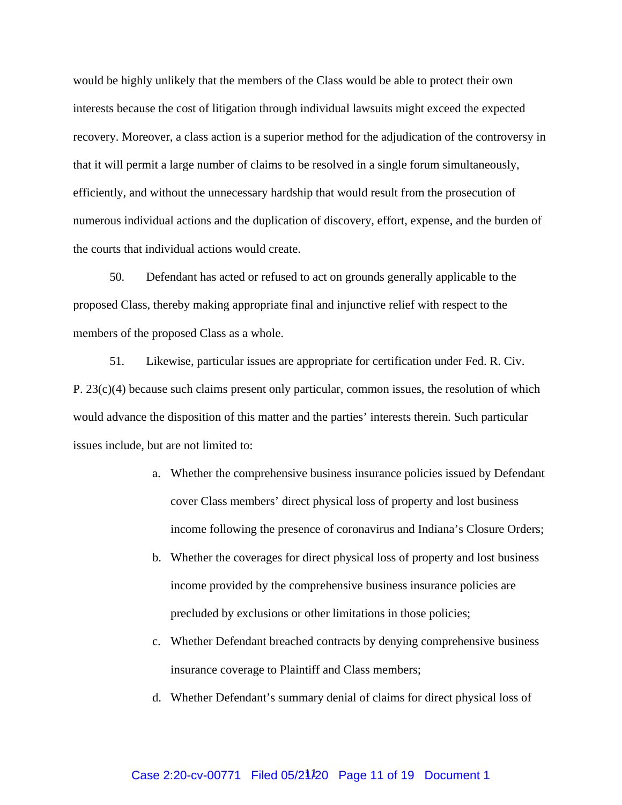would be highly unlikely that the members of the Class would be able to protect their own interests because the cost of litigation through individual lawsuits might exceed the expected recovery. Moreover, a class action is a superior method for the adjudication of the controversy in that it will permit a large number of claims to be resolved in a single forum simultaneously, efficiently, and without the unnecessary hardship that would result from the prosecution of numerous individual actions and the duplication of discovery, effort, expense, and the burden of the courts that individual actions would create.

50. Defendant has acted or refused to act on grounds generally applicable to the proposed Class, thereby making appropriate final and injunctive relief with respect to the members of the proposed Class as a whole.

51. Likewise, particular issues are appropriate for certification under Fed. R. Civ. P.  $23(c)(4)$  because such claims present only particular, common issues, the resolution of which would advance the disposition of this matter and the parties' interests therein. Such particular issues include, but are not limited to:

- a. Whether the comprehensive business insurance policies issued by Defendant cover Class members' direct physical loss of property and lost business income following the presence of coronavirus and Indiana's Closure Orders;
- b. Whether the coverages for direct physical loss of property and lost business income provided by the comprehensive business insurance policies are precluded by exclusions or other limitations in those policies;
- c. Whether Defendant breached contracts by denying comprehensive business insurance coverage to Plaintiff and Class members;
- d. Whether Defendant's summary denial of claims for direct physical loss of

## Case 2:20-cv-00771 Filed 05/21/20 Page 11 of 19 Document 1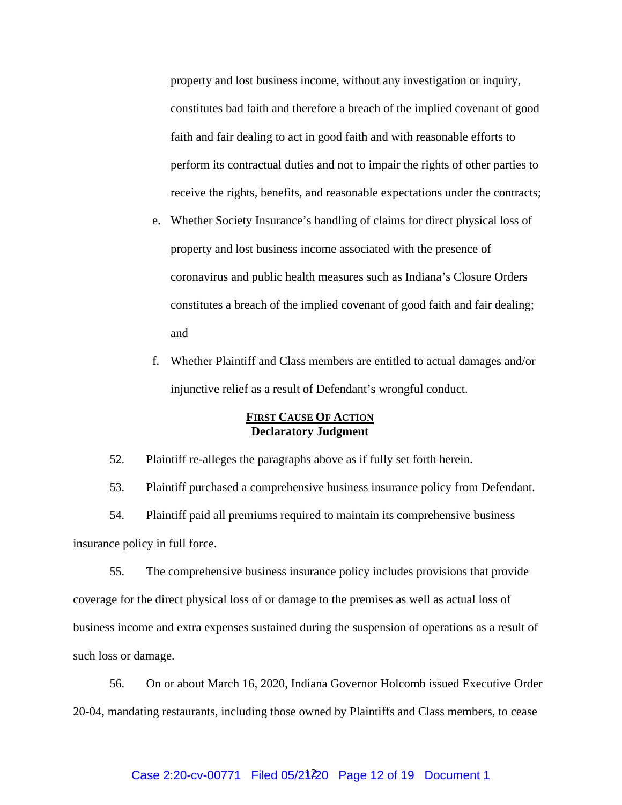property and lost business income, without any investigation or inquiry, constitutes bad faith and therefore a breach of the implied covenant of good faith and fair dealing to act in good faith and with reasonable efforts to perform its contractual duties and not to impair the rights of other parties to receive the rights, benefits, and reasonable expectations under the contracts;

- e. Whether Society Insurance's handling of claims for direct physical loss of property and lost business income associated with the presence of coronavirus and public health measures such as Indiana's Closure Orders constitutes a breach of the implied covenant of good faith and fair dealing; and
- f. Whether Plaintiff and Class members are entitled to actual damages and/or injunctive relief as a result of Defendant's wrongful conduct.

#### **FIRST CAUSE OF ACTION Declaratory Judgment**

52. Plaintiff re-alleges the paragraphs above as if fully set forth herein.

53. Plaintiff purchased a comprehensive business insurance policy from Defendant.

54. Plaintiff paid all premiums required to maintain its comprehensive business insurance policy in full force.

55. The comprehensive business insurance policy includes provisions that provide coverage for the direct physical loss of or damage to the premises as well as actual loss of business income and extra expenses sustained during the suspension of operations as a result of such loss or damage.

56. On or about March 16, 2020, Indiana Governor Holcomb issued Executive Order 20-04, mandating restaurants, including those owned by Plaintiffs and Class members, to cease

## Case 2:20-cv-00771 Filed 05/21/20 Page 12 of 19 Document 1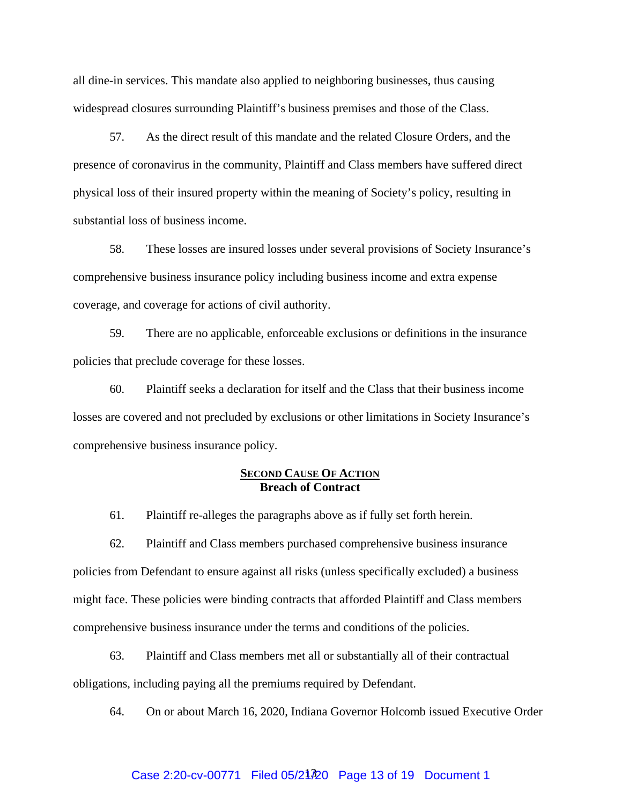all dine-in services. This mandate also applied to neighboring businesses, thus causing widespread closures surrounding Plaintiff's business premises and those of the Class.

57. As the direct result of this mandate and the related Closure Orders, and the presence of coronavirus in the community, Plaintiff and Class members have suffered direct physical loss of their insured property within the meaning of Society's policy, resulting in substantial loss of business income.

58. These losses are insured losses under several provisions of Society Insurance's comprehensive business insurance policy including business income and extra expense coverage, and coverage for actions of civil authority.

59. There are no applicable, enforceable exclusions or definitions in the insurance policies that preclude coverage for these losses.

60. Plaintiff seeks a declaration for itself and the Class that their business income losses are covered and not precluded by exclusions or other limitations in Society Insurance's comprehensive business insurance policy.

#### **SECOND CAUSE OF ACTION Breach of Contract**

61. Plaintiff re-alleges the paragraphs above as if fully set forth herein.

62. Plaintiff and Class members purchased comprehensive business insurance policies from Defendant to ensure against all risks (unless specifically excluded) a business might face. These policies were binding contracts that afforded Plaintiff and Class members comprehensive business insurance under the terms and conditions of the policies.

63. Plaintiff and Class members met all or substantially all of their contractual obligations, including paying all the premiums required by Defendant.

64. On or about March 16, 2020, Indiana Governor Holcomb issued Executive Order

## Case 2:20-cv-00771 Filed 05/21320 Page 13 of 19 Document 1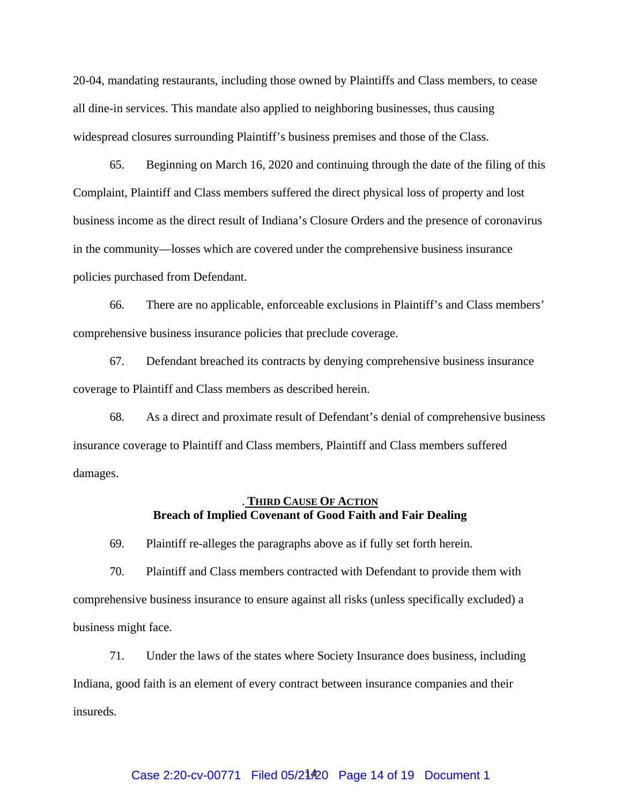20-04, mandating restaurants, including those owned by Plaintiffs and Class members, to cease all dine-in services. This mandate also applied to neighboring businesses, thus causing widespread closures surrounding Plaintiff's business premises and those of the Class.

65. Beginning on March 16, 2020 and continuing through the date of the filing of this Complaint, Plaintiff and Class members suffered the direct physical loss of property and lost business income as the direct result of Indiana's Closure Orders and the presence of coronavirus in the community—losses which are covered under the comprehensive business insurance policies purchased from Defendant.

66. There are no applicable, enforceable exclusions in Plaintiff's and Class members' comprehensive business insurance policies that preclude coverage.

67. Defendant breached its contracts by denying comprehensive business insurance coverage to Plaintiff and Class members as described herein.

68. As a direct and proximate result of Defendant's denial of comprehensive business insurance coverage to Plaintiff and Class members, Plaintiff and Class members suffered damages.

#### . **THIRD CAUSE OF ACTION Breach of Implied Covenant of Good Faith and Fair Dealing**

69. Plaintiff re-alleges the paragraphs above as if fully set forth herein.

70. Plaintiff and Class members contracted with Defendant to provide them with comprehensive business insurance to ensure against all risks (unless specifically excluded) a business might face.

71. Under the laws of the states where Society Insurance does business, including Indiana, good faith is an element of every contract between insurance companies and their insureds.

## Case 2:20-cv-00771 Filed 05/21#20 Page 14 of 19 Document 1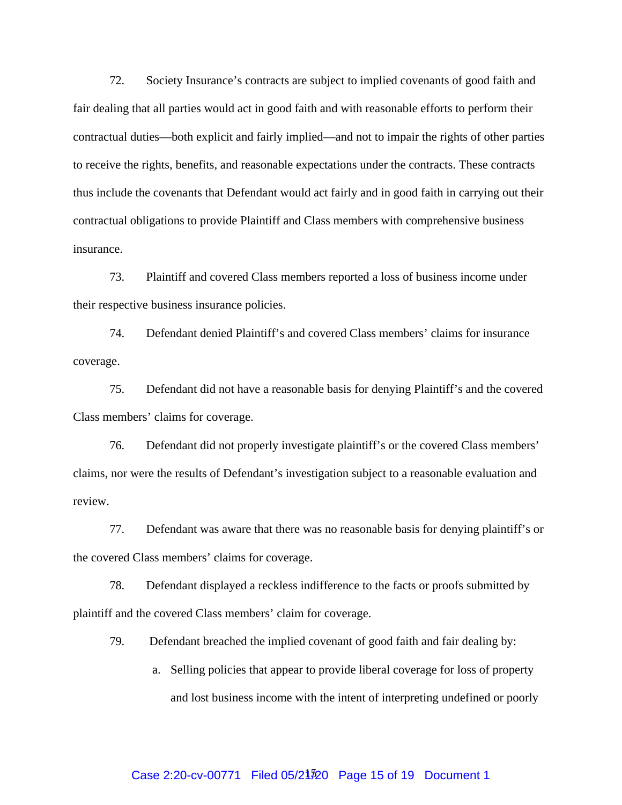72. Society Insurance's contracts are subject to implied covenants of good faith and fair dealing that all parties would act in good faith and with reasonable efforts to perform their contractual duties—both explicit and fairly implied—and not to impair the rights of other parties to receive the rights, benefits, and reasonable expectations under the contracts. These contracts thus include the covenants that Defendant would act fairly and in good faith in carrying out their contractual obligations to provide Plaintiff and Class members with comprehensive business insurance.

73. Plaintiff and covered Class members reported a loss of business income under their respective business insurance policies.

74. Defendant denied Plaintiff's and covered Class members' claims for insurance coverage.

75. Defendant did not have a reasonable basis for denying Plaintiff's and the covered Class members' claims for coverage.

76. Defendant did not properly investigate plaintiff's or the covered Class members' claims, nor were the results of Defendant's investigation subject to a reasonable evaluation and review.

77. Defendant was aware that there was no reasonable basis for denying plaintiff's or the covered Class members' claims for coverage.

78. Defendant displayed a reckless indifference to the facts or proofs submitted by plaintiff and the covered Class members' claim for coverage.

79. Defendant breached the implied covenant of good faith and fair dealing by:

a. Selling policies that appear to provide liberal coverage for loss of property and lost business income with the intent of interpreting undefined or poorly

## Case 2:20-cv-00771 Filed 05/21<sup>5</sup>/20 Page 15 of 19 Document 1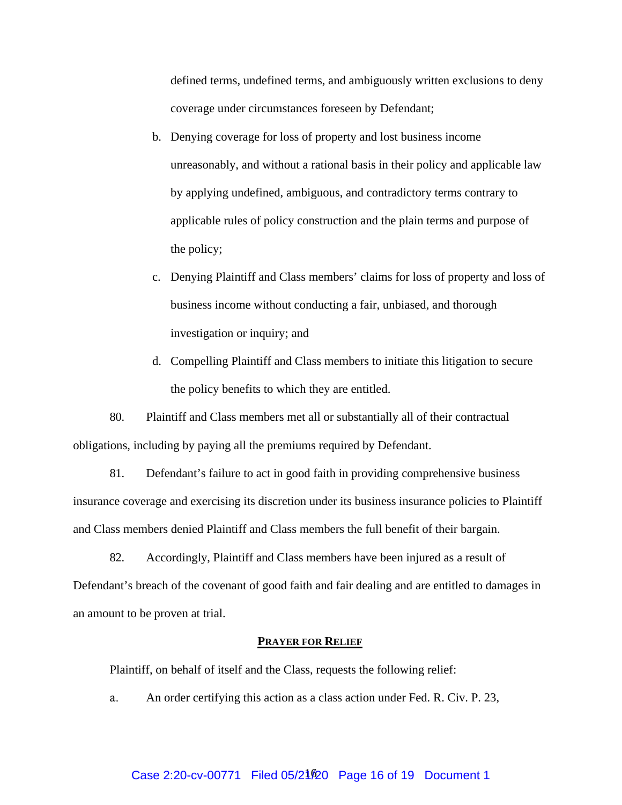defined terms, undefined terms, and ambiguously written exclusions to deny coverage under circumstances foreseen by Defendant;

- b. Denying coverage for loss of property and lost business income unreasonably, and without a rational basis in their policy and applicable law by applying undefined, ambiguous, and contradictory terms contrary to applicable rules of policy construction and the plain terms and purpose of the policy;
- c. Denying Plaintiff and Class members' claims for loss of property and loss of business income without conducting a fair, unbiased, and thorough investigation or inquiry; and
- d. Compelling Plaintiff and Class members to initiate this litigation to secure the policy benefits to which they are entitled.

80. Plaintiff and Class members met all or substantially all of their contractual obligations, including by paying all the premiums required by Defendant.

81. Defendant's failure to act in good faith in providing comprehensive business insurance coverage and exercising its discretion under its business insurance policies to Plaintiff and Class members denied Plaintiff and Class members the full benefit of their bargain.

82. Accordingly, Plaintiff and Class members have been injured as a result of Defendant's breach of the covenant of good faith and fair dealing and are entitled to damages in an amount to be proven at trial.

#### **PRAYER FOR RELIEF**

Plaintiff, on behalf of itself and the Class, requests the following relief:

a. An order certifying this action as a class action under Fed. R. Civ. P. 23,

## Case 2:20-cv-00771 Filed 05/21/20 Page 16 of 19 Document 1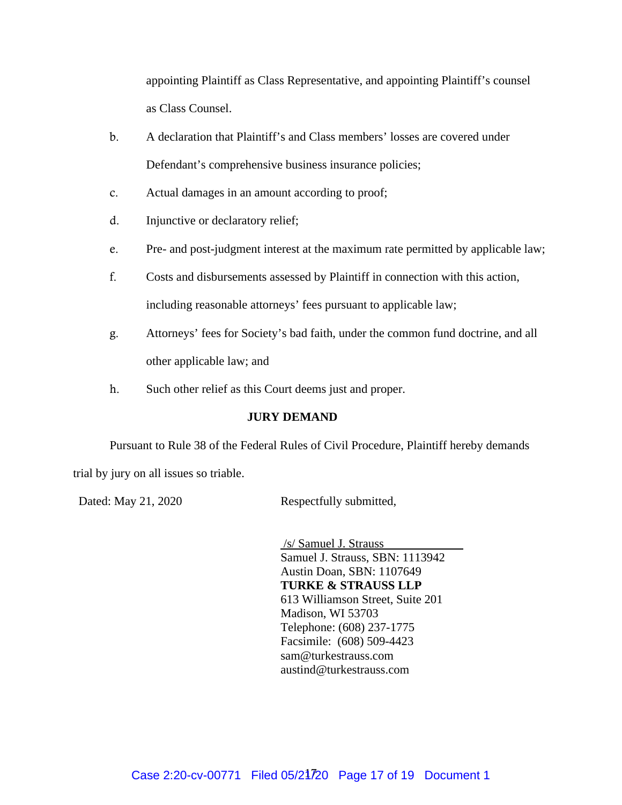appointing Plaintiff as Class Representative, and appointing Plaintiff's counsel as Class Counsel.

- b. A declaration that Plaintiff's and Class members' losses are covered under Defendant's comprehensive business insurance policies;
- c. Actual damages in an amount according to proof;
- d. Injunctive or declaratory relief;
- e. Pre- and post-judgment interest at the maximum rate permitted by applicable law;
- f. Costs and disbursements assessed by Plaintiff in connection with this action, including reasonable attorneys' fees pursuant to applicable law;
- g. Attorneys' fees for Society's bad faith, under the common fund doctrine, and all other applicable law; and
- h. Such other relief as this Court deems just and proper.

#### **JURY DEMAND**

Pursuant to Rule 38 of the Federal Rules of Civil Procedure, Plaintiff hereby demands

trial by jury on all issues so triable.

Dated: May 21, 2020 Respectfully submitted,

 /s/ Samuel J. Strauss Samuel J. Strauss, SBN: 1113942 Austin Doan, SBN: 1107649 **TURKE & STRAUSS LLP**  613 Williamson Street, Suite 201 Madison, WI 53703 Telephone: (608) 237-1775 Facsimile: (608) 509-4423 sam@turkestrauss.com austind@turkestrauss.com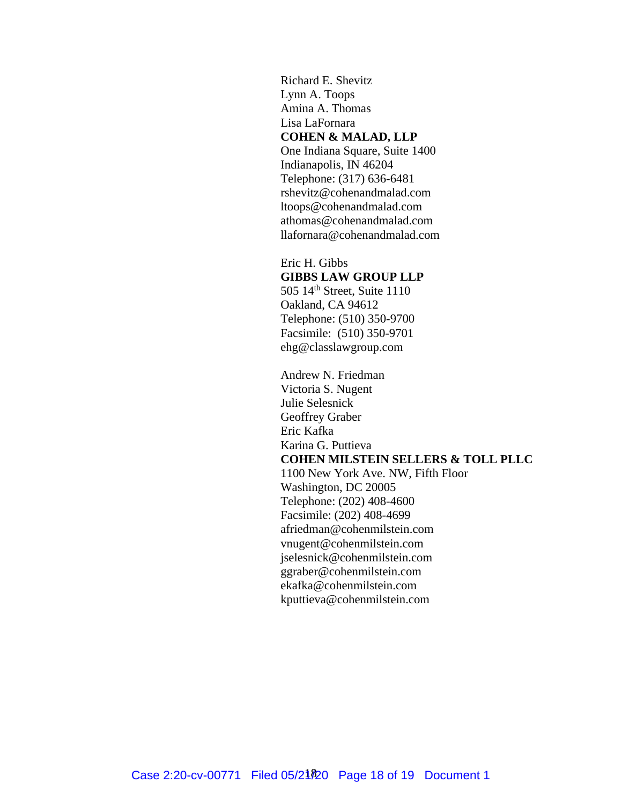Richard E. Shevitz Lynn A. Toops Amina A. Thomas Lisa LaFornara **COHEN & MALAD, LLP**  One Indiana Square, Suite 1400 Indianapolis, IN 46204 Telephone: (317) 636-6481 rshevitz@cohenandmalad.com ltoops@cohenandmalad.com athomas@cohenandmalad.com llafornara@cohenandmalad.com

#### Eric H. Gibbs **GIBBS LAW GROUP LLP**

505 14<sup>th</sup> Street, Suite 1110 Oakland, CA 94612 Telephone: (510) 350-9700 Facsimile: (510) 350-9701 ehg@classlawgroup.com

Andrew N. Friedman Victoria S. Nugent Julie Selesnick Geoffrey Graber Eric Kafka Karina G. Puttieva **COHEN MILSTEIN SELLERS & TOLL PLLC**  1100 New York Ave. NW, Fifth Floor Washington, DC 20005 Telephone: (202) 408-4600 Facsimile: (202) 408-4699 afriedman@cohenmilstein.com vnugent@cohenmilstein.com jselesnick@cohenmilstein.com ggraber@cohenmilstein.com ekafka@cohenmilstein.com kputtieva@cohenmilstein.com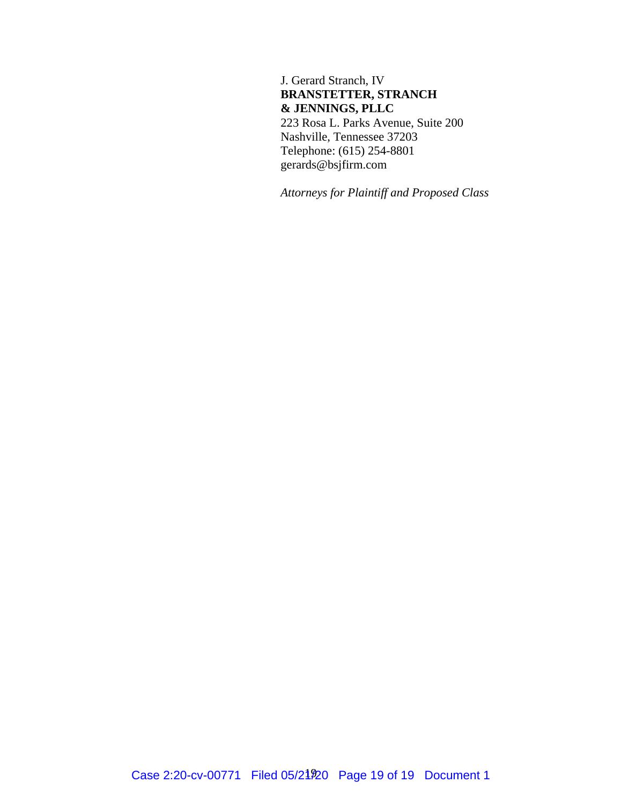J. Gerard Stranch, IV **BRANSTETTER, STRANCH & JENNINGS, PLLC**  223 Rosa L. Parks Avenue, Suite 200 Nashville, Tennessee 37203 Telephone: (615) 254-8801 gerards@bsjfirm.com

*Attorneys for Plaintiff and Proposed Class*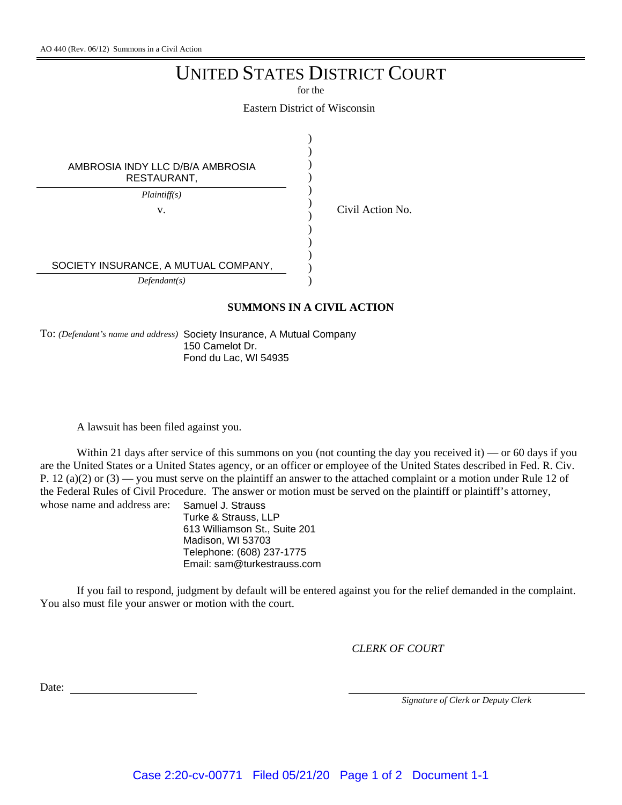# UNITED STATES DISTRICT COURT

for the

Eastern District of Wisconsin

Civil Action No.

| AMBROSIA INDY LLC D/B/A AMBROSIA<br>RESTAURANT, |  |
|-------------------------------------------------|--|
| Plaintiff(s)                                    |  |
| V.                                              |  |
|                                                 |  |
|                                                 |  |
| SOCIETY INSURANCE, A MUTUAL COMPANY,            |  |
| Defendant(s)                                    |  |

#### **SUMMONS IN A CIVIL ACTION**

To: *(Defendant's name and address)* Society Insurance, A Mutual Company 150 Camelot Dr. Fond du Lac, WI 54935

A lawsuit has been filed against you.

Within 21 days after service of this summons on you (not counting the day you received it) — or 60 days if you are the United States or a United States agency, or an officer or employee of the United States described in Fed. R. Civ. P. 12 (a)(2) or  $(3)$  — you must serve on the plaintiff an answer to the attached complaint or a motion under Rule 12 of the Federal Rules of Civil Procedure. The answer or motion must be served on the plaintiff or plaintiff's attorney, whose name and address are: Samuel J. Strauss

Turke & Strauss, LLP 613 Williamson St., Suite 201 Madison, WI 53703 Telephone: (608) 237-1775 Email: sam@turkestrauss.com

If you fail to respond, judgment by default will be entered against you for the relief demanded in the complaint. You also must file your answer or motion with the court.

*CLERK OF COURT*

Date:

*Signature of Clerk or Deputy Clerk*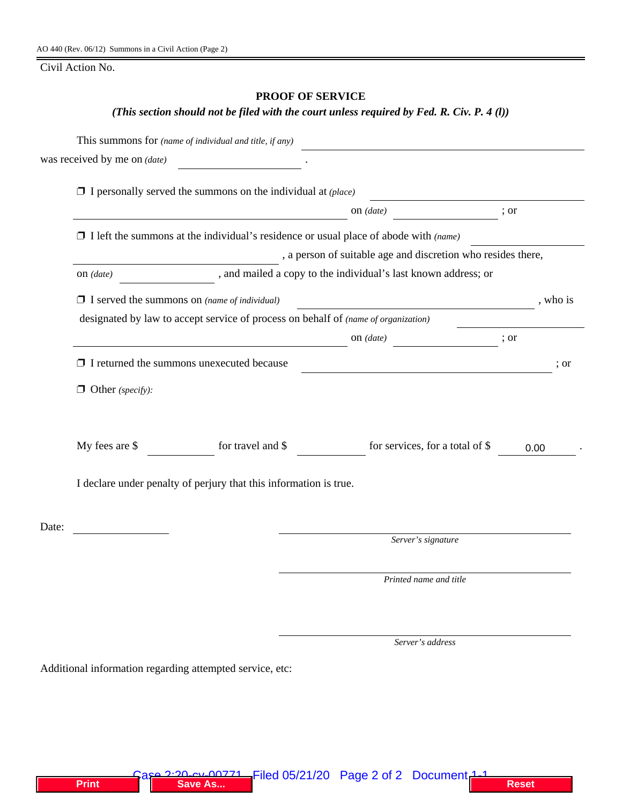Civil Action No.

#### **PROOF OF SERVICE**

*(This section should not be filed with the court unless required by Fed. R. Civ. P. 4 (l))*

|       | was received by me on (date)                                                                                                                | This summons for (name of individual and title, if any)<br><u> 1970 - Jan Barat, prima politik (</u>                  |                                 |                 |  |  |  |  |
|-------|---------------------------------------------------------------------------------------------------------------------------------------------|-----------------------------------------------------------------------------------------------------------------------|---------------------------------|-----------------|--|--|--|--|
|       |                                                                                                                                             | $\Box$ I personally served the summons on the individual at (place)                                                   |                                 |                 |  |  |  |  |
|       |                                                                                                                                             | <u> 1980 - Johann Stoff, deutscher Stoff, der Stoff, der Stoff, der Stoff, der Stoff, der Stoff, der Stoff, der S</u> | on $(data)$                     | ; or            |  |  |  |  |
|       | $\Box$ I left the summons at the individual's residence or usual place of abode with (name)                                                 |                                                                                                                       |                                 |                 |  |  |  |  |
|       | , a person of suitable age and discretion who resides there,<br>and mailed a copy to the individual's last known address; or<br>on $(data)$ |                                                                                                                       |                                 |                 |  |  |  |  |
|       | $\Box$ I served the summons on (name of individual)<br>designated by law to accept service of process on behalf of (name of organization)   | , who is<br><u> 1986 - Johann Stein, fransk politik (</u>                                                             |                                 |                 |  |  |  |  |
|       |                                                                                                                                             | ; or                                                                                                                  |                                 |                 |  |  |  |  |
|       |                                                                                                                                             | $\Box$ I returned the summons unexecuted because                                                                      |                                 | $\therefore$ or |  |  |  |  |
|       | $\Box$ Other (specify):                                                                                                                     |                                                                                                                       |                                 |                 |  |  |  |  |
|       | My fees are \$                                                                                                                              | for travel and \$                                                                                                     | for services, for a total of \$ | 0.00            |  |  |  |  |
|       |                                                                                                                                             | I declare under penalty of perjury that this information is true.                                                     |                                 |                 |  |  |  |  |
| Date: |                                                                                                                                             |                                                                                                                       |                                 |                 |  |  |  |  |
|       |                                                                                                                                             |                                                                                                                       | Server's signature              |                 |  |  |  |  |
|       |                                                                                                                                             |                                                                                                                       | Printed name and title          |                 |  |  |  |  |
|       |                                                                                                                                             |                                                                                                                       |                                 |                 |  |  |  |  |
|       |                                                                                                                                             |                                                                                                                       | Server's address                |                 |  |  |  |  |

Additional information regarding attempted service, etc: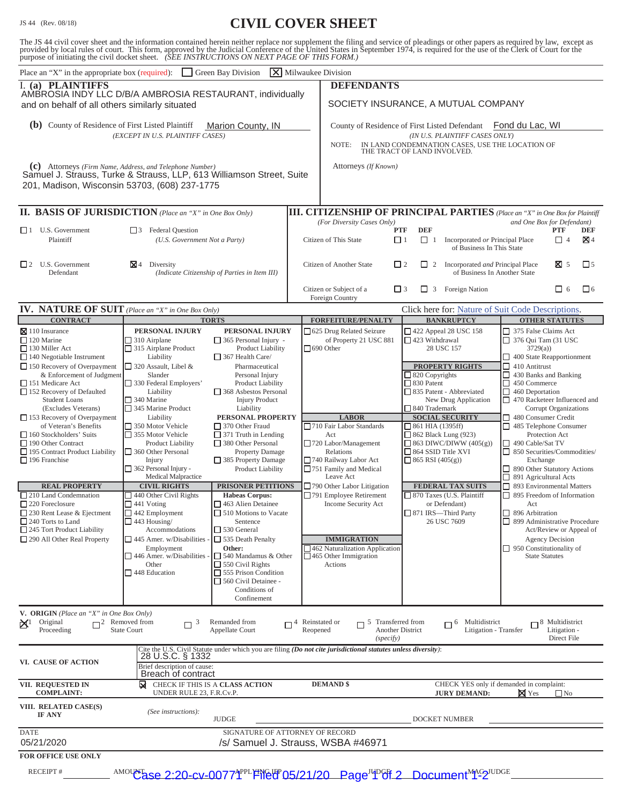## JS 44 (Rev. 08/18) **CIVIL COVER SHEET**

| The JS 44 civil cover sheet and the information contained herein neither replace nor supplement the filing and service of pleadings or other papers as required by law, except as<br>provided by local rules of court. This form, approved by the Judicial Conference of the United States in September 1974, is required for the use of the Clerk of Court for the purpose of initiating the civil docket sheet. ( |                                                                          |                                                          |                                                                                                                                                                                                 |                                                                                          |                                                                                     |  |  |
|---------------------------------------------------------------------------------------------------------------------------------------------------------------------------------------------------------------------------------------------------------------------------------------------------------------------------------------------------------------------------------------------------------------------|--------------------------------------------------------------------------|----------------------------------------------------------|-------------------------------------------------------------------------------------------------------------------------------------------------------------------------------------------------|------------------------------------------------------------------------------------------|-------------------------------------------------------------------------------------|--|--|
| Place an "X" in the appropriate box (required):                                                                                                                                                                                                                                                                                                                                                                     |                                                                          | Green Bay Division                                       | <b>X</b> Milwaukee Division                                                                                                                                                                     |                                                                                          |                                                                                     |  |  |
| I. (a) PLAINTIFFS                                                                                                                                                                                                                                                                                                                                                                                                   |                                                                          |                                                          | <b>DEFENDANTS</b>                                                                                                                                                                               |                                                                                          |                                                                                     |  |  |
| AMBROSIA INDY LLC D/B/A AMBROSIA RESTAURANT, individually<br>and on behalf of all others similarly situated                                                                                                                                                                                                                                                                                                         |                                                                          |                                                          | SOCIETY INSURANCE, A MUTUAL COMPANY                                                                                                                                                             |                                                                                          |                                                                                     |  |  |
|                                                                                                                                                                                                                                                                                                                                                                                                                     |                                                                          |                                                          |                                                                                                                                                                                                 |                                                                                          |                                                                                     |  |  |
| <b>(b)</b> County of Residence of First Listed Plaintiff                                                                                                                                                                                                                                                                                                                                                            |                                                                          | Marion County, IN                                        |                                                                                                                                                                                                 | County of Residence of First Listed Defendant                                            | Fond du Lac, WI                                                                     |  |  |
|                                                                                                                                                                                                                                                                                                                                                                                                                     | (EXCEPT IN U.S. PLAINTIFF CASES)                                         |                                                          | (IN U.S. PLAINTIFF CASES ONLY)<br>IN LAND CONDEMNATION CASES, USE THE LOCATION OF<br>NOTE:<br>THE TRACT OF LAND INVOLVED.                                                                       |                                                                                          |                                                                                     |  |  |
| (C) Attorneys (Firm Name, Address, and Telephone Number)                                                                                                                                                                                                                                                                                                                                                            |                                                                          |                                                          | Attorneys (If Known)                                                                                                                                                                            |                                                                                          |                                                                                     |  |  |
| Samuel J. Strauss, Turke & Strauss, LLP, 613 Williamson Street, Suite<br>201, Madison, Wisconsin 53703, (608) 237-1775                                                                                                                                                                                                                                                                                              |                                                                          |                                                          |                                                                                                                                                                                                 |                                                                                          |                                                                                     |  |  |
| <b>II. BASIS OF JURISDICTION</b> (Place an "X" in One Box Only)                                                                                                                                                                                                                                                                                                                                                     |                                                                          |                                                          |                                                                                                                                                                                                 |                                                                                          | <b>III. CITIZENSHIP OF PRINCIPAL PARTIES</b> (Place an "X" in One Box for Plaintiff |  |  |
|                                                                                                                                                                                                                                                                                                                                                                                                                     |                                                                          |                                                          | (For Diversity Cases Only)<br>and One Box for Defendant)                                                                                                                                        |                                                                                          |                                                                                     |  |  |
| $\Box$ 1 U.S. Government<br>$\Box$ 3 Federal Question<br>Plaintiff<br>(U.S. Government Not a Party)                                                                                                                                                                                                                                                                                                                 |                                                                          |                                                          | <b>DEF</b><br><b>PTF</b><br><b>PTF</b><br><b>DEF</b><br>$\Box$ 1<br>$\Box$ 1<br>$\Box$ 4<br><b>X</b> 4<br>Citizen of This State<br>Incorporated or Principal Place<br>of Business In This State |                                                                                          |                                                                                     |  |  |
| $\Box$ 2 U.S. Government<br>Defendant                                                                                                                                                                                                                                                                                                                                                                               | <b>X</b> 4<br>Diversity<br>(Indicate Citizenship of Parties in Item III) |                                                          | Citizen of Another State                                                                                                                                                                        | Incorporated and Principal Place<br>$\Box$ 2<br>$\Box$ 2<br>of Business In Another State | <b>X</b> 5<br>$\square$ 5                                                           |  |  |
|                                                                                                                                                                                                                                                                                                                                                                                                                     |                                                                          |                                                          | Citizen or Subject of a<br>$\Box$ 3 Foreign Nation<br>$\Box$ 6<br>$\Box$ 3<br>$\Box$ 6                                                                                                          |                                                                                          |                                                                                     |  |  |
| <b>IV. NATURE OF SUIT</b> (Place an "X" in One Box Only)                                                                                                                                                                                                                                                                                                                                                            |                                                                          |                                                          | Foreign Country                                                                                                                                                                                 | Click here for: Nature of Suit Code Descriptions.                                        |                                                                                     |  |  |
| <b>CONTRACT</b>                                                                                                                                                                                                                                                                                                                                                                                                     |                                                                          | <b>TORTS</b>                                             | <b>FORFEITURE/PENALTY</b>                                                                                                                                                                       | <b>BANKRUPTCY</b>                                                                        | <b>OTHER STATUTES</b>                                                               |  |  |
| $\boxtimes$ 110 Insurance                                                                                                                                                                                                                                                                                                                                                                                           | PERSONAL INJURY                                                          | PERSONAL INJURY                                          | □ 625 Drug Related Seizure                                                                                                                                                                      | $\Box$ 422 Appeal 28 USC 158                                                             | 375 False Claims Act                                                                |  |  |
| $\Box$ 120 Marine                                                                                                                                                                                                                                                                                                                                                                                                   | $\Box$ 310 Airplane                                                      | $\Box$ 365 Personal Injury -                             | of Property 21 USC 881                                                                                                                                                                          | 423 Withdrawal                                                                           | $\Box$ 376 Qui Tam (31 USC                                                          |  |  |
| $\Box$ 130 Miller Act                                                                                                                                                                                                                                                                                                                                                                                               | 315 Airplane Product                                                     | Product Liability                                        | □ 690 Other                                                                                                                                                                                     | 28 USC 157                                                                               | 3729(a)                                                                             |  |  |
| $\Box$ 140 Negotiable Instrument<br>$\Box$ 150 Recovery of Overpayment                                                                                                                                                                                                                                                                                                                                              | Liability<br>$\Box$ 320 Assault, Libel &                                 | $\Box$ 367 Health Care/<br>Pharmaceutical                |                                                                                                                                                                                                 | <b>PROPERTY RIGHTS</b>                                                                   | $\Box$ 400 State Reapportionment<br>$\Box$ 410 Antitrust                            |  |  |
| & Enforcement of Judgment                                                                                                                                                                                                                                                                                                                                                                                           | Slander                                                                  | Personal Injury                                          |                                                                                                                                                                                                 | $\Box$ 820 Copyrights                                                                    | $\Box$ 430 Banks and Banking                                                        |  |  |
| 151 Medicare Act                                                                                                                                                                                                                                                                                                                                                                                                    | 330 Federal Employers'                                                   | Product Liability                                        |                                                                                                                                                                                                 | $\Box$ 830 Patent                                                                        | $\Box$ 450 Commerce                                                                 |  |  |
| $\Box$ 152 Recovery of Defaulted                                                                                                                                                                                                                                                                                                                                                                                    | Liability                                                                | $\Box$ 368 Asbestos Personal                             |                                                                                                                                                                                                 | □ 835 Patent - Abbreviated                                                               | $\Box$ 460 Deportation                                                              |  |  |
| Student Loans<br>(Excludes Veterans)                                                                                                                                                                                                                                                                                                                                                                                | 340 Marine<br>345 Marine Product                                         | <b>Injury Product</b><br>Liability                       |                                                                                                                                                                                                 | New Drug Application<br>$\Box$ 840 Trademark                                             | $\Box$ 470 Racketeer Influenced and<br><b>Corrupt Organizations</b>                 |  |  |
| $\Box$ 153 Recovery of Overpayment                                                                                                                                                                                                                                                                                                                                                                                  | Liability                                                                | PERSONAL PROPERTY                                        | <b>LABOR</b>                                                                                                                                                                                    | <b>SOCIAL SECURITY</b>                                                                   | 480 Consumer Credit                                                                 |  |  |
| of Veteran's Benefits                                                                                                                                                                                                                                                                                                                                                                                               | 350 Motor Vehicle                                                        | $\Box$ 370 Other Fraud                                   | 710 Fair Labor Standards                                                                                                                                                                        | $\Box$ 861 HIA (1395ff)                                                                  | $\Box$ 485 Telephone Consumer                                                       |  |  |
| □ 160 Stockholders' Suits<br>$\Box$ 190 Other Contract                                                                                                                                                                                                                                                                                                                                                              | 355 Motor Vehicle                                                        | $\Box$ 371 Truth in Lending<br>$\Box$ 380 Other Personal | Act                                                                                                                                                                                             | $\Box$ 862 Black Lung (923)<br>$\Box$ 863 DIWC/DIWW (405(g))                             | Protection Act<br>$\Box$ 490 Cable/Sat TV                                           |  |  |
| 195 Contract Product Liability                                                                                                                                                                                                                                                                                                                                                                                      | Product Liability<br>360 Other Personal                                  | Property Damage                                          | $\Box$ 720 Labor/Management<br>Relations                                                                                                                                                        | $\Box$ 864 SSID Title XVI                                                                | $\Box$ 850 Securities/Commodities/                                                  |  |  |
| $\Box$ 196 Franchise                                                                                                                                                                                                                                                                                                                                                                                                | Injury                                                                   | $\Box$ 385 Property Damage                               | 740 Railway Labor Act                                                                                                                                                                           | $\Box$ 865 RSI (405(g))                                                                  | Exchange                                                                            |  |  |
|                                                                                                                                                                                                                                                                                                                                                                                                                     | 362 Personal Injury -                                                    | Product Liability                                        | 751 Family and Medical                                                                                                                                                                          |                                                                                          | □ 890 Other Statutory Actions                                                       |  |  |
| <b>REAL PROPERTY</b>                                                                                                                                                                                                                                                                                                                                                                                                | Medical Malpractice<br><b>CIVIL RIGHTS</b>                               | <b>PRISONER PETITIONS</b>                                | Leave Act<br>$\Box$ 790 Other Labor Litigation                                                                                                                                                  | <b>FEDERAL TAX SUITS</b>                                                                 | $\Box$ 891 Agricultural Acts<br>□ 893 Environmental Matters                         |  |  |
| $\Box$ 210 Land Condemnation                                                                                                                                                                                                                                                                                                                                                                                        | $\Box$ 440 Other Civil Rights                                            | <b>Habeas Corpus:</b>                                    | 791 Employee Retirement                                                                                                                                                                         | $\Box$ 870 Taxes (U.S. Plaintiff                                                         | $\Box$ 895 Freedom of Information                                                   |  |  |
| $\Box$ 220 Foreclosure                                                                                                                                                                                                                                                                                                                                                                                              | 441 Voting                                                               | $\Box$ 463 Alien Detainee                                | Income Security Act                                                                                                                                                                             | or Defendant)                                                                            | Act                                                                                 |  |  |
| □ 230 Rent Lease & Ejectment                                                                                                                                                                                                                                                                                                                                                                                        | $\Box$ 442 Employment                                                    | $\Box$ 510 Motions to Vacate                             |                                                                                                                                                                                                 | □ 871 IRS—Third Party                                                                    | □ 896 Arbitration                                                                   |  |  |
| $\Box$ 240 Torts to Land<br>□ 245 Tort Product Liability                                                                                                                                                                                                                                                                                                                                                            | $\Box$ 443 Housing/<br>Accommodations                                    | Sentence<br>$\Box$ 530 General                           |                                                                                                                                                                                                 | 26 USC 7609                                                                              | □ 899 Administrative Procedure<br>Act/Review or Appeal of                           |  |  |
| $\Box$ 290 All Other Real Property                                                                                                                                                                                                                                                                                                                                                                                  | $\Box$ 445 Amer. w/Disabilities                                          | $\Box$ 535 Death Penalty                                 | <b>IMMIGRATION</b>                                                                                                                                                                              |                                                                                          | <b>Agency Decision</b>                                                              |  |  |
|                                                                                                                                                                                                                                                                                                                                                                                                                     | Employment                                                               | Other:                                                   | 462 Naturalization Application                                                                                                                                                                  |                                                                                          | $\Box$ 950 Constitutionality of                                                     |  |  |
|                                                                                                                                                                                                                                                                                                                                                                                                                     | $\Box$ 446 Amer. w/Disabilities                                          | $\Box$ 540 Mandamus & Other                              | $\Box$ 465 Other Immigration                                                                                                                                                                    |                                                                                          | <b>State Statutes</b>                                                               |  |  |
|                                                                                                                                                                                                                                                                                                                                                                                                                     | Other<br>448 Education                                                   | $\Box$ 550 Civil Rights<br>$\Box$ 555 Prison Condition   | Actions                                                                                                                                                                                         |                                                                                          |                                                                                     |  |  |
|                                                                                                                                                                                                                                                                                                                                                                                                                     |                                                                          | $\Box$ 560 Civil Detainee -                              |                                                                                                                                                                                                 |                                                                                          |                                                                                     |  |  |
|                                                                                                                                                                                                                                                                                                                                                                                                                     |                                                                          | Conditions of                                            |                                                                                                                                                                                                 |                                                                                          |                                                                                     |  |  |
|                                                                                                                                                                                                                                                                                                                                                                                                                     |                                                                          | Confinement                                              |                                                                                                                                                                                                 |                                                                                          |                                                                                     |  |  |
| V. ORIGIN (Place an "X" in One Box Only)                                                                                                                                                                                                                                                                                                                                                                            |                                                                          |                                                          |                                                                                                                                                                                                 |                                                                                          |                                                                                     |  |  |
| Original<br>$\mathsf{M}^1$<br>Proceeding                                                                                                                                                                                                                                                                                                                                                                            | $\Box^2$ Removed from<br>3<br>$\Box$<br><b>State Court</b>               | Remanded from<br>Appellate Court                         | $\Box$ <sup>4</sup> Reinstated or<br>5 Transferred from<br>П<br>Another District<br>Reopened<br>(specify)                                                                                       | $\Box$ 6 Multidistrict<br>Litigation - Transfer                                          | $\Box$ <sup>8</sup> Multidistrict<br>Litigation -<br>Direct File                    |  |  |
|                                                                                                                                                                                                                                                                                                                                                                                                                     |                                                                          |                                                          | Cite the U.S. Civil Statute under which you are filing (Do not cite jurisdictional statutes unless diversity):                                                                                  |                                                                                          |                                                                                     |  |  |
| VI. CAUSE OF ACTION                                                                                                                                                                                                                                                                                                                                                                                                 | 28 U.S.C. § 1332<br>Brief description of cause:<br>Breach of contract    |                                                          |                                                                                                                                                                                                 |                                                                                          |                                                                                     |  |  |
| VII. REQUESTED IN<br><b>COMPLAINT:</b>                                                                                                                                                                                                                                                                                                                                                                              | ы<br>CHECK IF THIS IS A CLASS ACTION                                     |                                                          | <b>DEMAND</b> \$                                                                                                                                                                                |                                                                                          | CHECK YES only if demanded in complaint:<br>$\boxtimes$ Yes                         |  |  |
| UNDER RULE 23, F.R.Cv.P.<br><b>JURY DEMAND:</b>                                                                                                                                                                                                                                                                                                                                                                     |                                                                          |                                                          |                                                                                                                                                                                                 | $\square$ No                                                                             |                                                                                     |  |  |
| VIII. RELATED CASE(S)<br><b>IF ANY</b>                                                                                                                                                                                                                                                                                                                                                                              | (See instructions):                                                      | <b>JUDGE</b>                                             |                                                                                                                                                                                                 | DOCKET NUMBER                                                                            |                                                                                     |  |  |
| <b>DATE</b>                                                                                                                                                                                                                                                                                                                                                                                                         |                                                                          | SIGNATURE OF ATTORNEY OF RECORD                          |                                                                                                                                                                                                 |                                                                                          |                                                                                     |  |  |
| 05/21/2020                                                                                                                                                                                                                                                                                                                                                                                                          |                                                                          |                                                          | /s/ Samuel J. Strauss, WSBA #46971                                                                                                                                                              |                                                                                          |                                                                                     |  |  |
| FOR OFFICE USE ONLY                                                                                                                                                                                                                                                                                                                                                                                                 |                                                                          |                                                          |                                                                                                                                                                                                 |                                                                                          |                                                                                     |  |  |

RECEIPT # AMOUNT APPLYING IFP JUDGE MAG. JUDGE Case 2:20-cv-00771 Filed 05/21/20 Page 1 of 2 Document 1-2